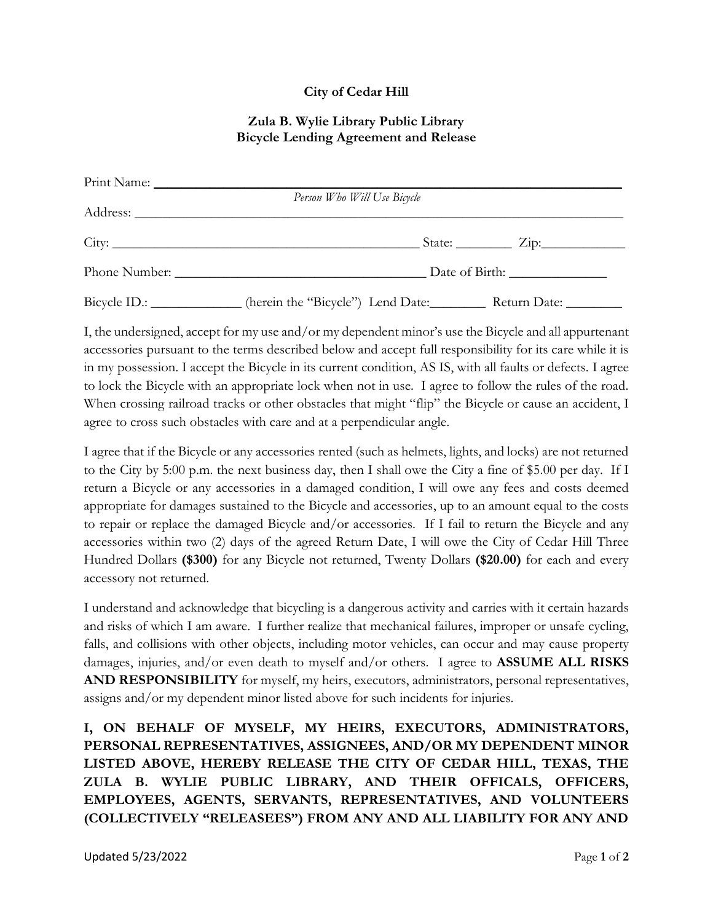## **City of Cedar Hill**

## **Zula B. Wylie Library Public Library Bicycle Lending Agreement and Release**

| Person Who Will Use Bicycle                                                                  |
|----------------------------------------------------------------------------------------------|
|                                                                                              |
|                                                                                              |
|                                                                                              |
| Bicycle ID.: _____________ (herein the "Bicycle") Lend Date: _________ Return Date: ________ |

I, the undersigned, accept for my use and/or my dependent minor's use the Bicycle and all appurtenant accessories pursuant to the terms described below and accept full responsibility for its care while it is in my possession. I accept the Bicycle in its current condition, AS IS, with all faults or defects. I agree to lock the Bicycle with an appropriate lock when not in use. I agree to follow the rules of the road. When crossing railroad tracks or other obstacles that might "flip" the Bicycle or cause an accident, I agree to cross such obstacles with care and at a perpendicular angle.

I agree that if the Bicycle or any accessories rented (such as helmets, lights, and locks) are not returned to the City by 5:00 p.m. the next business day, then I shall owe the City a fine of \$5.00 per day. If I return a Bicycle or any accessories in a damaged condition, I will owe any fees and costs deemed appropriate for damages sustained to the Bicycle and accessories, up to an amount equal to the costs to repair or replace the damaged Bicycle and/or accessories. If I fail to return the Bicycle and any accessories within two (2) days of the agreed Return Date, I will owe the City of Cedar Hill Three Hundred Dollars **(\$300)** for any Bicycle not returned, Twenty Dollars **(\$20.00)** for each and every accessory not returned.

I understand and acknowledge that bicycling is a dangerous activity and carries with it certain hazards and risks of which I am aware. I further realize that mechanical failures, improper or unsafe cycling, falls, and collisions with other objects, including motor vehicles, can occur and may cause property damages, injuries, and/or even death to myself and/or others. I agree to **ASSUME ALL RISKS AND RESPONSIBILITY** for myself, my heirs, executors, administrators, personal representatives, assigns and/or my dependent minor listed above for such incidents for injuries.

**I, ON BEHALF OF MYSELF, MY HEIRS, EXECUTORS, ADMINISTRATORS, PERSONAL REPRESENTATIVES, ASSIGNEES, AND/OR MY DEPENDENT MINOR LISTED ABOVE, HEREBY RELEASE THE CITY OF CEDAR HILL, TEXAS, THE ZULA B. WYLIE PUBLIC LIBRARY, AND THEIR OFFICALS, OFFICERS, EMPLOYEES, AGENTS, SERVANTS, REPRESENTATIVES, AND VOLUNTEERS (COLLECTIVELY "RELEASEES") FROM ANY AND ALL LIABILITY FOR ANY AND**